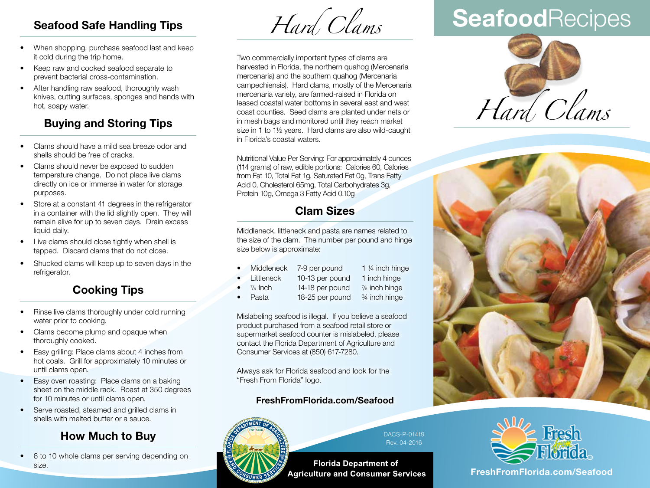## **Seafood Safe Handling Tips**

- When shopping, purchase seafood last and keep it cold during the trip home.
- Keep raw and cooked seafood separate to prevent bacterial cross-contamination.
- After handling raw seafood, thoroughly wash knives, cutting surfaces, sponges and hands with hot, soapy water.

# **Buying and Storing Tips**

- Clams should have a mild sea breeze odor and shells should be free of cracks.
- Clams should never be exposed to sudden temperature change. Do not place live clams directly on ice or immerse in water for storage purposes.
- Store at a constant 41 degrees in the refrigerator in a container with the lid slightly open. They will remain alive for up to seven days. Drain excess liquid daily.
- Live clams should close tightly when shell is tapped. Discard clams that do not close.
- Shucked clams will keep up to seven days in the refrigerator.

## **Cooking Tips**

- Rinse live clams thoroughly under cold running water prior to cooking.
- Clams become plump and opaque when thoroughly cooked.
- Easy grilling: Place clams about 4 inches from hot coals. Grill for approximately 10 minutes or until clams open.
- Easy oven roasting: Place clams on a baking sheet on the middle rack. Roast at 350 degrees for 10 minutes or until clams open.
- Serve roasted, steamed and grilled clams in shells with melted butter or a sauce.

### **How Much to Buy**

• 6 to 10 whole clams per serving depending on size.

*Hard Clams*

Two commercially important types of clams are harvested in Florida, the northern quahog (Mercenaria mercenaria) and the southern quahog (Mercenaria campechiensis). Hard clams, mostly of the Mercenaria mercenaria variety, are farmed-raised in Florida on leased coastal water bottoms in several east and west coast counties. Seed clams are planted under nets or in mesh bags and monitored until they reach market size in 1 to 1½ years. Hard clams are also wild-caught in Florida's coastal waters.

Nutritional Value Per Serving: For approximately 4 ounces (114 grams) of raw, edible portions: Calories 60, Calories from Fat 10, Total Fat 1g, Saturated Fat 0g, Trans Fatty Acid 0, Cholesterol 65mg, Total Carbohydrates 3g, Protein 10g, Omega 3 Fatty Acid 0.10g

## **Clam Sizes**

Middleneck, littleneck and pasta are names related to the size of the clam. The number per pound and hinge size below is approximate:

- Middleneck 7-9 per pound 1 1/4 inch hinge
- Littleneck 10-13 per pound 1 inch hinge
- $\frac{7}{8}$  Inch
- 14-18 per pound  $\frac{7}{8}$  inch hinge
- Pasta 18-25 per pound 3/4 inch hinge

Mislabeling seafood is illegal. If you believe a seafood product purchased from a seafood retail store or supermarket seafood counter is mislabeled, please contact the Florida Department of Agriculture and Consumer Services at (850) 617-7280.

Always ask for Florida seafood and look for the "Fresh From Florida" logo.

#### 2051 East Dirac Drive, Tallahassee, Florida 32310-3760 **FreshFromFlorida.com/Seafood**  $\sum_{i=1}^{n}$



DACS-P-01419 Rev. 04-2016

**Florida Department of Agriculture and Consumer Services** 

# **Seafood**Recipes







**FreshFromFlorida.com FreshFromFlorida.com/Seafood**